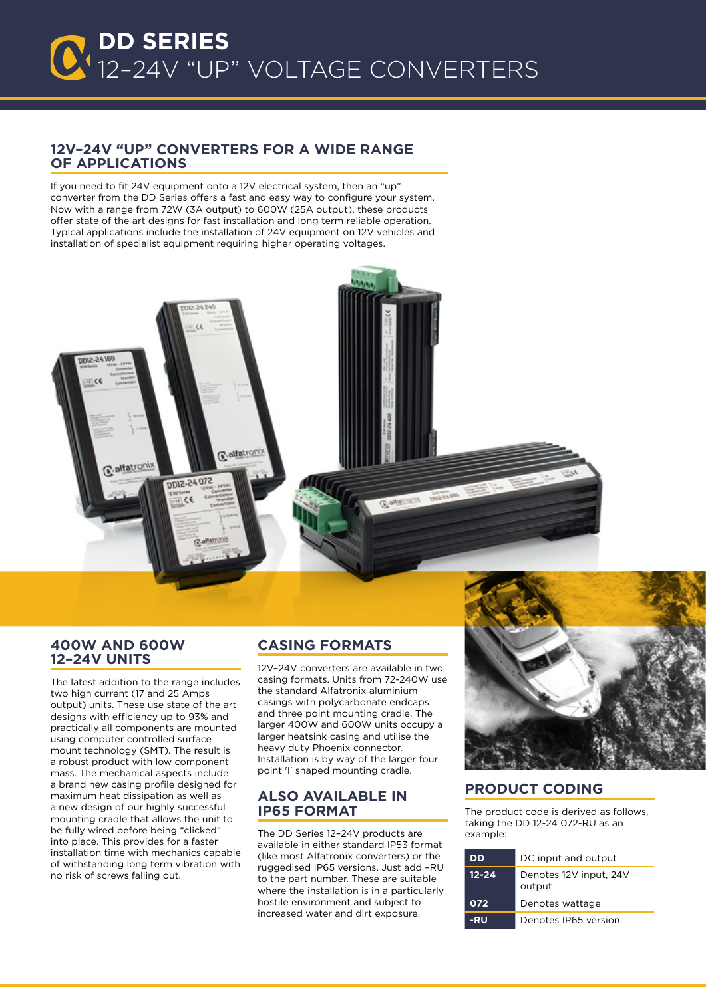### **12V–24V "uP" converters for a wide range of applications**

If you need to fit 24V equipment onto a 12V electrical system, then an "up" converter from the DD Series offers a fast and easy way to configure your system. Now with a range from 72W (3A output) to 600W (25A output), these products offer state of the art designs for fast installation and long term reliable operation. Typical applications include the installation of 24V equipment on 12V vehicles and installation of specialist equipment requiring higher operating voltages.



#### **400W and 600W 12–24V units**

The latest addition to the range includes two high current (17 and 25 Amps output) units. These use state of the art designs with efficiency up to 93% and practically all components are mounted using computer controlled surface mount technology (SMT). The result is a robust product with low component mass. The mechanical aspects include a brand new casing profile designed for maximum heat dissipation as well as a new design of our highly successful mounting cradle that allows the unit to be fully wired before being "clicked" into place. This provides for a faster installation time with mechanics capable of withstanding long term vibration with no risk of screws falling out.

## **CASING FORMATS**

12V–24V converters are available in two casing formats. Units from 72-240W use the standard Alfatronix aluminium casings with polycarbonate endcaps and three point mounting cradle. The larger 400W and 600W units occupy a larger heatsink casing and utilise the heavy duty Phoenix connector. Installation is by way of the larger four point 'I' shaped mounting cradle.

### **Also available in ip65 format**

The DD Series 12–24V products are available in either standard IP53 format (like most Alfatronix converters) or the ruggedised IP65 versions. Just add –RU to the part number. These are suitable where the installation is in a particularly hostile environment and subject to increased water and dirt exposure.



#### **Product coding**

The product code is derived as follows, taking the DD 12-24 072-RU as an example:

| DD        | DC input and output              |  |
|-----------|----------------------------------|--|
| $12 - 24$ | Denotes 12V input, 24V<br>output |  |
| 072       | Denotes wattage                  |  |
| -RU       | Denotes IP65 version             |  |